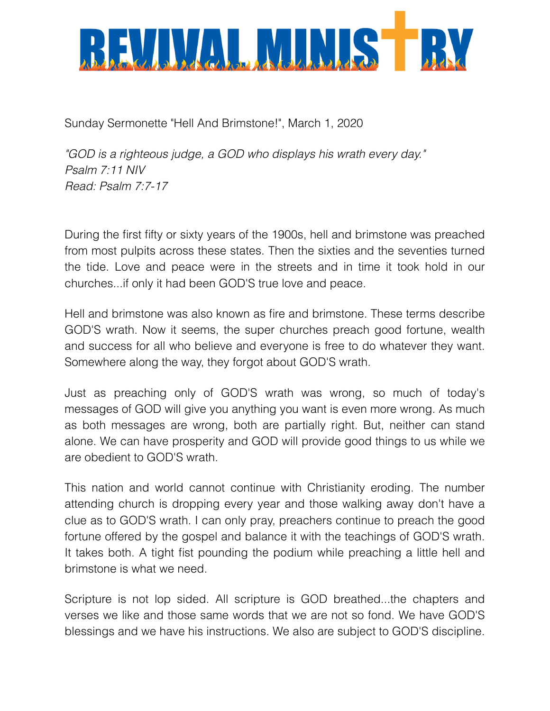

Sunday Sermonette "Hell And Brimstone!", March 1, 2020

*"GOD is a righteous judge, a GOD who displays his wrath every day." Psalm 7:11 NIV Read: Psalm 7:7-17*

During the first fifty or sixty years of the 1900s, hell and brimstone was preached from most pulpits across these states. Then the sixties and the seventies turned the tide. Love and peace were in the streets and in time it took hold in our churches...if only it had been GOD'S true love and peace.

Hell and brimstone was also known as fire and brimstone. These terms describe GOD'S wrath. Now it seems, the super churches preach good fortune, wealth and success for all who believe and everyone is free to do whatever they want. Somewhere along the way, they forgot about GOD'S wrath.

Just as preaching only of GOD'S wrath was wrong, so much of today's messages of GOD will give you anything you want is even more wrong. As much as both messages are wrong, both are partially right. But, neither can stand alone. We can have prosperity and GOD will provide good things to us while we are obedient to GOD'S wrath.

This nation and world cannot continue with Christianity eroding. The number attending church is dropping every year and those walking away don't have a clue as to GOD'S wrath. I can only pray, preachers continue to preach the good fortune offered by the gospel and balance it with the teachings of GOD'S wrath. It takes both. A tight fist pounding the podium while preaching a little hell and brimstone is what we need.

Scripture is not lop sided. All scripture is GOD breathed...the chapters and verses we like and those same words that we are not so fond. We have GOD'S blessings and we have his instructions. We also are subject to GOD'S discipline.